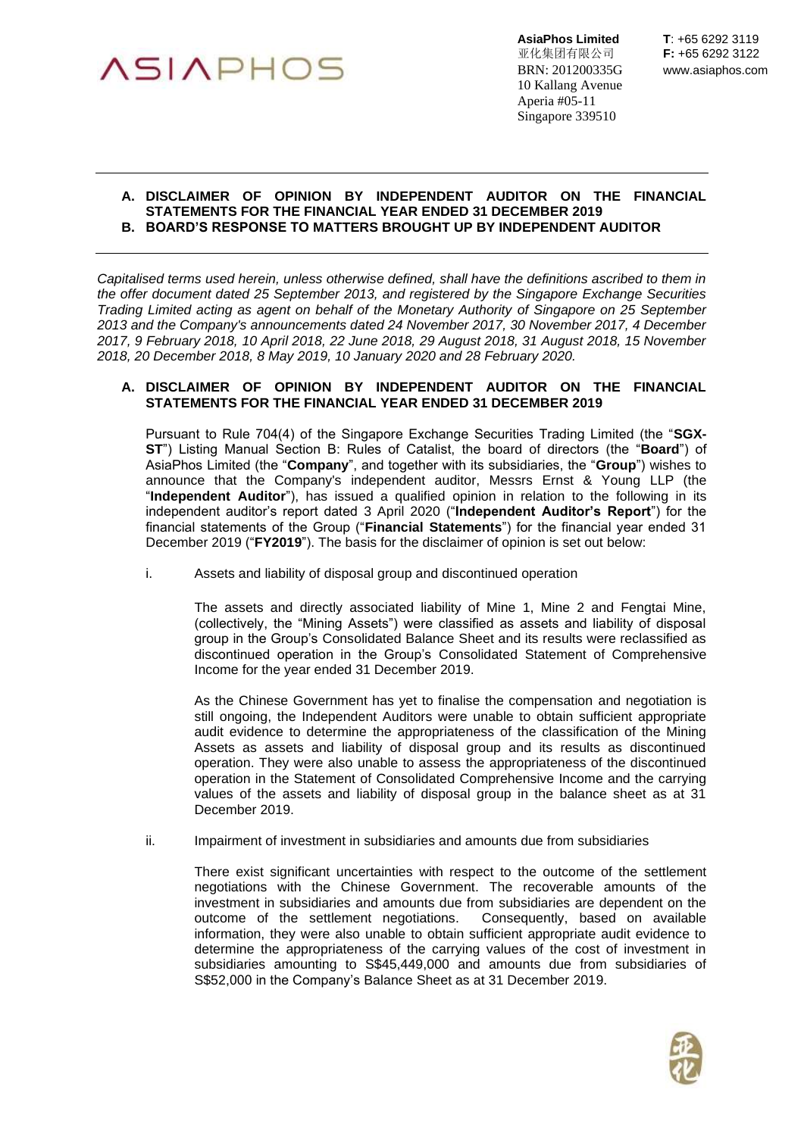

亚化集团有限公司 **F:** +65 6292 3122 BRN: 201200335G www.asiaphos.com 10 Kallang Avenue Aperia #05-11 Singapore 339510

#### **A. DISCLAIMER OF OPINION BY INDEPENDENT AUDITOR ON THE FINANCIAL STATEMENTS FOR THE FINANCIAL YEAR ENDED 31 DECEMBER 2019 B. BOARD'S RESPONSE TO MATTERS BROUGHT UP BY INDEPENDENT AUDITOR**

*Capitalised terms used herein, unless otherwise defined, shall have the definitions ascribed to them in the offer document dated 25 September 2013, and registered by the Singapore Exchange Securities Trading Limited acting as agent on behalf of the Monetary Authority of Singapore on 25 September 2013 and the Company's announcements dated 24 November 2017, 30 November 2017, 4 December 2017, 9 February 2018, 10 April 2018, 22 June 2018, 29 August 2018, 31 August 2018, 15 November 2018, 20 December 2018, 8 May 2019, 10 January 2020 and 28 February 2020.*

# **A. DISCLAIMER OF OPINION BY INDEPENDENT AUDITOR ON THE FINANCIAL STATEMENTS FOR THE FINANCIAL YEAR ENDED 31 DECEMBER 2019**

Pursuant to Rule 704(4) of the Singapore Exchange Securities Trading Limited (the "**SGX-ST**") Listing Manual Section B: Rules of Catalist, the board of directors (the "**Board**") of AsiaPhos Limited (the "**Company**", and together with its subsidiaries, the "**Group**") wishes to announce that the Company's independent auditor, Messrs Ernst & Young LLP (the "**Independent Auditor**"), has issued a qualified opinion in relation to the following in its independent auditor's report dated 3 April 2020 ("**Independent Auditor's Report**") for the financial statements of the Group ("**Financial Statements**") for the financial year ended 31 December 2019 ("**FY2019**"). The basis for the disclaimer of opinion is set out below:

i. Assets and liability of disposal group and discontinued operation

The assets and directly associated liability of Mine 1, Mine 2 and Fengtai Mine, (collectively, the "Mining Assets") were classified as assets and liability of disposal group in the Group's Consolidated Balance Sheet and its results were reclassified as discontinued operation in the Group's Consolidated Statement of Comprehensive Income for the year ended 31 December 2019.

As the Chinese Government has yet to finalise the compensation and negotiation is still ongoing, the Independent Auditors were unable to obtain sufficient appropriate audit evidence to determine the appropriateness of the classification of the Mining Assets as assets and liability of disposal group and its results as discontinued operation. They were also unable to assess the appropriateness of the discontinued operation in the Statement of Consolidated Comprehensive Income and the carrying values of the assets and liability of disposal group in the balance sheet as at 31 December 2019.

ii. Impairment of investment in subsidiaries and amounts due from subsidiaries

There exist significant uncertainties with respect to the outcome of the settlement negotiations with the Chinese Government. The recoverable amounts of the investment in subsidiaries and amounts due from subsidiaries are dependent on the outcome of the settlement negotiations. Consequently, based on available information, they were also unable to obtain sufficient appropriate audit evidence to determine the appropriateness of the carrying values of the cost of investment in subsidiaries amounting to S\$45,449,000 and amounts due from subsidiaries of S\$52,000 in the Company's Balance Sheet as at 31 December 2019.

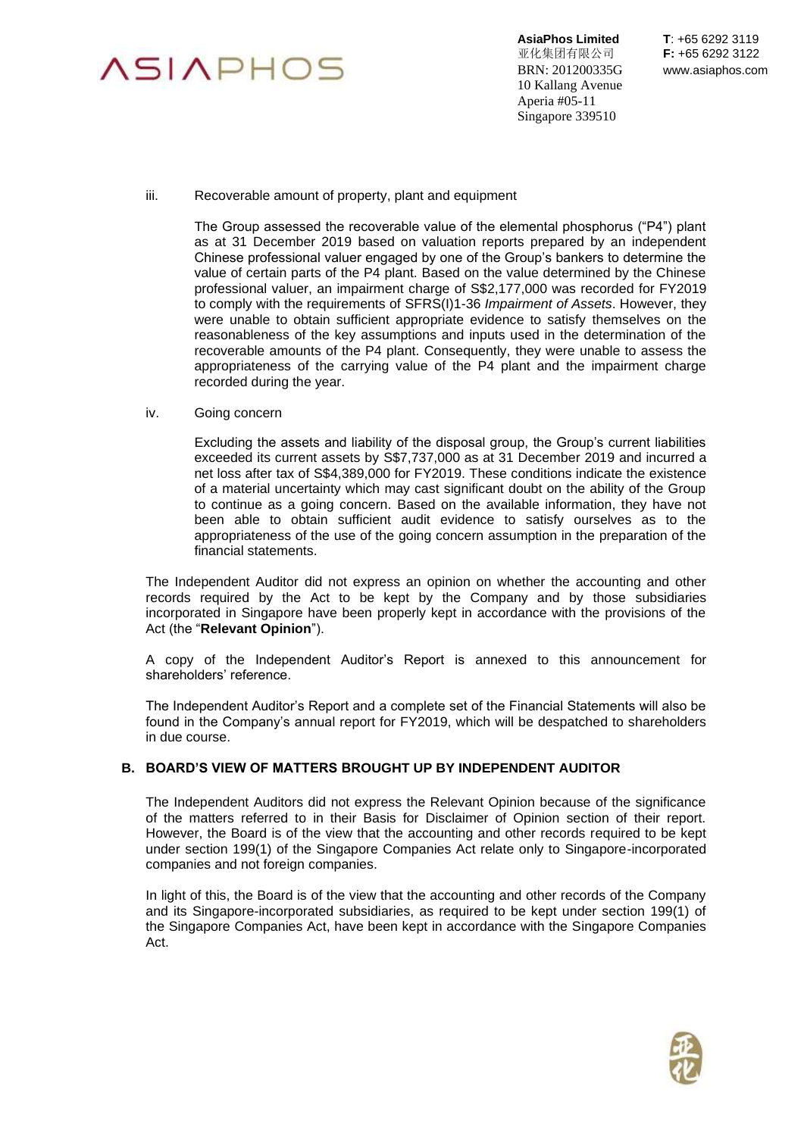

**AsiaPhos Limited T**: +65 6292 3119 亚化集团有限公司 **F:** +65 6292 3122 BRN: 201200335G www.asiaphos.com 10 Kallang Avenue Aperia #05-11 Singapore 339510

### iii. Recoverable amount of property, plant and equipment

The Group assessed the recoverable value of the elemental phosphorus ("P4") plant as at 31 December 2019 based on valuation reports prepared by an independent Chinese professional valuer engaged by one of the Group's bankers to determine the value of certain parts of the P4 plant. Based on the value determined by the Chinese professional valuer, an impairment charge of S\$2,177,000 was recorded for FY2019 to comply with the requirements of SFRS(I)1-36 *Impairment of Assets*. However, they were unable to obtain sufficient appropriate evidence to satisfy themselves on the reasonableness of the key assumptions and inputs used in the determination of the recoverable amounts of the P4 plant. Consequently, they were unable to assess the appropriateness of the carrying value of the P4 plant and the impairment charge recorded during the year.

### iv. Going concern

Excluding the assets and liability of the disposal group, the Group's current liabilities exceeded its current assets by S\$7,737,000 as at 31 December 2019 and incurred a net loss after tax of S\$4,389,000 for FY2019. These conditions indicate the existence of a material uncertainty which may cast significant doubt on the ability of the Group to continue as a going concern. Based on the available information, they have not been able to obtain sufficient audit evidence to satisfy ourselves as to the appropriateness of the use of the going concern assumption in the preparation of the financial statements.

The Independent Auditor did not express an opinion on whether the accounting and other records required by the Act to be kept by the Company and by those subsidiaries incorporated in Singapore have been properly kept in accordance with the provisions of the Act (the "**Relevant Opinion**").

A copy of the Independent Auditor's Report is annexed to this announcement for shareholders' reference.

The Independent Auditor's Report and a complete set of the Financial Statements will also be found in the Company's annual report for FY2019, which will be despatched to shareholders in due course.

# **B. BOARD'S VIEW OF MATTERS BROUGHT UP BY INDEPENDENT AUDITOR**

The Independent Auditors did not express the Relevant Opinion because of the significance of the matters referred to in their Basis for Disclaimer of Opinion section of their report. However, the Board is of the view that the accounting and other records required to be kept under section 199(1) of the Singapore Companies Act relate only to Singapore-incorporated companies and not foreign companies.

In light of this, the Board is of the view that the accounting and other records of the Company and its Singapore-incorporated subsidiaries, as required to be kept under section 199(1) of the Singapore Companies Act, have been kept in accordance with the Singapore Companies Act.

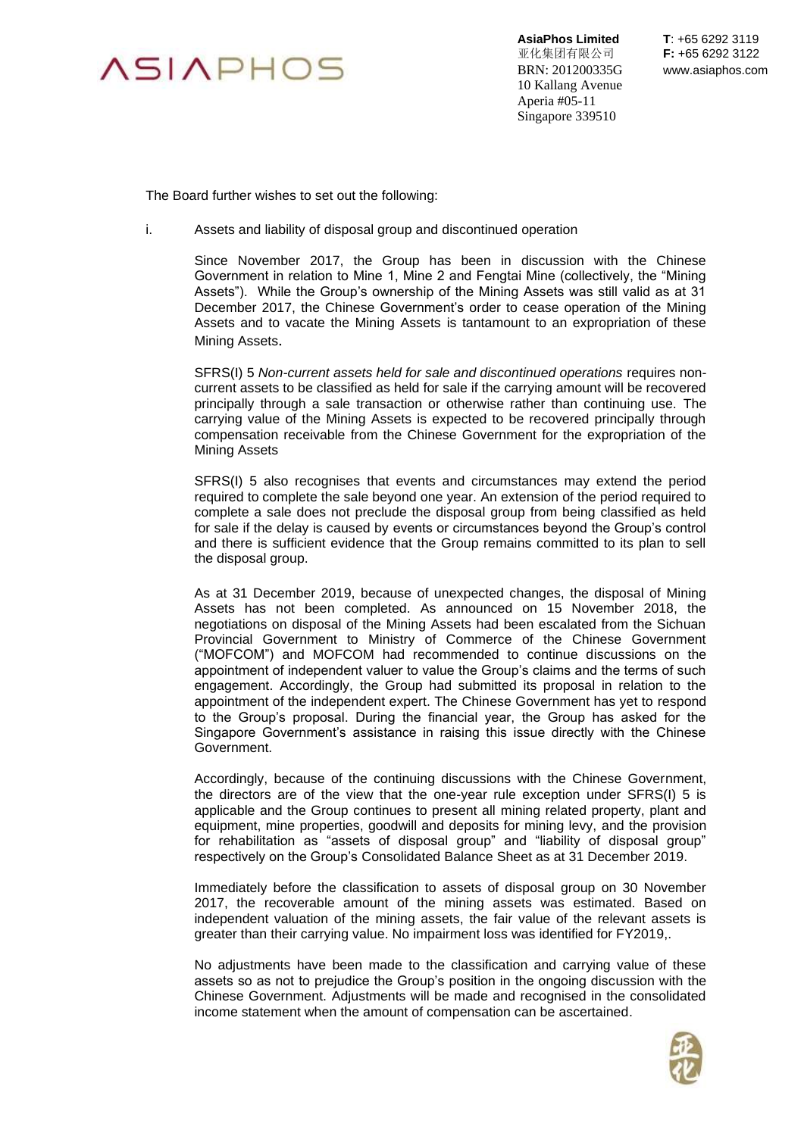

**AsiaPhos Limited T**: +65 6292 3119 亚化集团有限公司 **F:** +65 6292 3122 BRN: 201200335G www.asiaphos.com 10 Kallang Avenue Aperia #05-11 Singapore 339510

The Board further wishes to set out the following:

i. Assets and liability of disposal group and discontinued operation

Since November 2017, the Group has been in discussion with the Chinese Government in relation to Mine 1, Mine 2 and Fengtai Mine (collectively, the "Mining Assets"). While the Group's ownership of the Mining Assets was still valid as at 31 December 2017, the Chinese Government's order to cease operation of the Mining Assets and to vacate the Mining Assets is tantamount to an expropriation of these Mining Assets.

SFRS(I) 5 *Non-current assets held for sale and discontinued operations* requires noncurrent assets to be classified as held for sale if the carrying amount will be recovered principally through a sale transaction or otherwise rather than continuing use. The carrying value of the Mining Assets is expected to be recovered principally through compensation receivable from the Chinese Government for the expropriation of the Mining Assets

SFRS(I) 5 also recognises that events and circumstances may extend the period required to complete the sale beyond one year. An extension of the period required to complete a sale does not preclude the disposal group from being classified as held for sale if the delay is caused by events or circumstances beyond the Group's control and there is sufficient evidence that the Group remains committed to its plan to sell the disposal group.

As at 31 December 2019, because of unexpected changes, the disposal of Mining Assets has not been completed. As announced on 15 November 2018, the negotiations on disposal of the Mining Assets had been escalated from the Sichuan Provincial Government to Ministry of Commerce of the Chinese Government ("MOFCOM") and MOFCOM had recommended to continue discussions on the appointment of independent valuer to value the Group's claims and the terms of such engagement. Accordingly, the Group had submitted its proposal in relation to the appointment of the independent expert. The Chinese Government has yet to respond to the Group's proposal. During the financial year, the Group has asked for the Singapore Government's assistance in raising this issue directly with the Chinese Government.

Accordingly, because of the continuing discussions with the Chinese Government, the directors are of the view that the one-year rule exception under SFRS(I) 5 is applicable and the Group continues to present all mining related property, plant and equipment, mine properties, goodwill and deposits for mining levy, and the provision for rehabilitation as "assets of disposal group" and "liability of disposal group" respectively on the Group's Consolidated Balance Sheet as at 31 December 2019.

Immediately before the classification to assets of disposal group on 30 November 2017, the recoverable amount of the mining assets was estimated. Based on independent valuation of the mining assets, the fair value of the relevant assets is greater than their carrying value. No impairment loss was identified for FY2019,.

No adjustments have been made to the classification and carrying value of these assets so as not to prejudice the Group's position in the ongoing discussion with the Chinese Government. Adjustments will be made and recognised in the consolidated income statement when the amount of compensation can be ascertained.

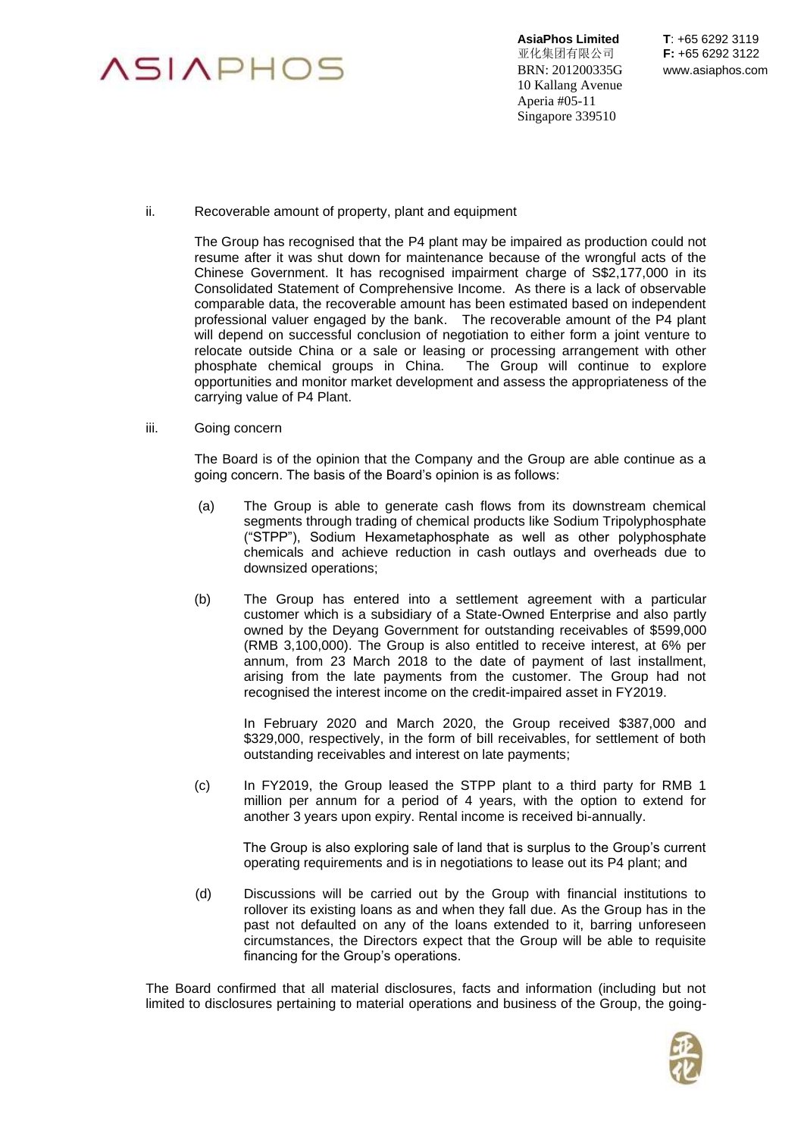

**AsiaPhos Limited T**: +65 6292 3119 亚化集团有限公司 **F:** +65 6292 3122 BRN: 201200335G www.asiaphos.com 10 Kallang Avenue Aperia #05-11 Singapore 339510

ii. Recoverable amount of property, plant and equipment

The Group has recognised that the P4 plant may be impaired as production could not resume after it was shut down for maintenance because of the wrongful acts of the Chinese Government. It has recognised impairment charge of S\$2,177,000 in its Consolidated Statement of Comprehensive Income. As there is a lack of observable comparable data, the recoverable amount has been estimated based on independent professional valuer engaged by the bank. The recoverable amount of the P4 plant will depend on successful conclusion of negotiation to either form a joint venture to relocate outside China or a sale or leasing or processing arrangement with other phosphate chemical groups in China. The Group will continue to explore opportunities and monitor market development and assess the appropriateness of the carrying value of P4 Plant.

iii. Going concern

The Board is of the opinion that the Company and the Group are able continue as a going concern. The basis of the Board's opinion is as follows:

- (a) The Group is able to generate cash flows from its downstream chemical segments through trading of chemical products like Sodium Tripolyphosphate ("STPP"), Sodium Hexametaphosphate as well as other polyphosphate chemicals and achieve reduction in cash outlays and overheads due to downsized operations;
- (b) The Group has entered into a settlement agreement with a particular customer which is a subsidiary of a State-Owned Enterprise and also partly owned by the Deyang Government for outstanding receivables of \$599,000 (RMB 3,100,000). The Group is also entitled to receive interest, at 6% per annum, from 23 March 2018 to the date of payment of last installment, arising from the late payments from the customer. The Group had not recognised the interest income on the credit-impaired asset in FY2019.

In February 2020 and March 2020, the Group received \$387,000 and \$329,000, respectively, in the form of bill receivables, for settlement of both outstanding receivables and interest on late payments;

(c) In FY2019, the Group leased the STPP plant to a third party for RMB 1 million per annum for a period of 4 years, with the option to extend for another 3 years upon expiry. Rental income is received bi-annually.

The Group is also exploring sale of land that is surplus to the Group's current operating requirements and is in negotiations to lease out its P4 plant; and

(d) Discussions will be carried out by the Group with financial institutions to rollover its existing loans as and when they fall due. As the Group has in the past not defaulted on any of the loans extended to it, barring unforeseen circumstances, the Directors expect that the Group will be able to requisite financing for the Group's operations.

The Board confirmed that all material disclosures, facts and information (including but not limited to disclosures pertaining to material operations and business of the Group, the going-